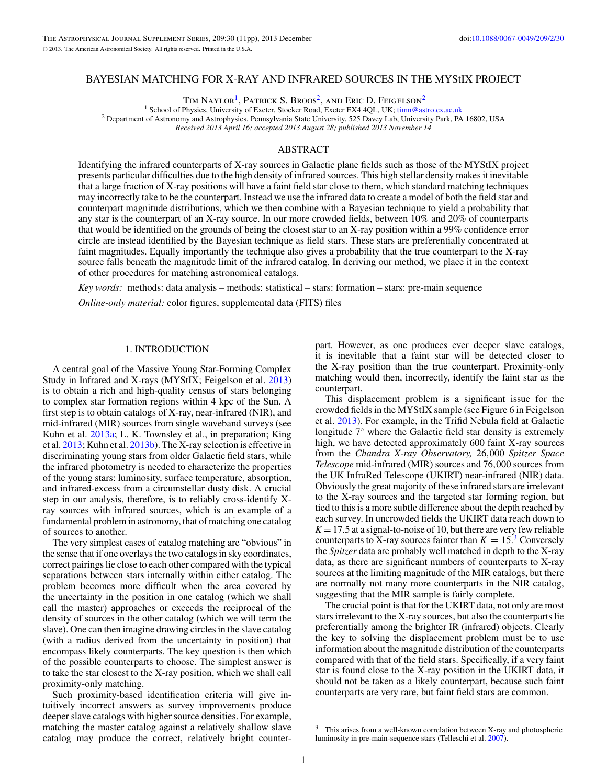## <span id="page-0-0"></span>BAYESIAN MATCHING FOR X-RAY AND INFRARED SOURCES IN THE MYStIX PROJECT

TIM NAYLOR<sup>1</sup>, PATRICK S. BROOS<sup>2</sup>, AND ERIC D. FEIGELSON<sup>2</sup><br><sup>1</sup> School of Physics, University of Exeter, Stocker Road, Exeter EX4 4QL, UK; timn@astro.ex.ac.uk

<sup>2</sup> Department of Astronomy and Astrophysics, Pennsylvania State University, 525 Davey Lab, University Park, PA 16802, USA

*Received 2013 April 16; accepted 2013 August 28; published 2013 November 14*

# ABSTRACT

Identifying the infrared counterparts of X-ray sources in Galactic plane fields such as those of the MYStIX project presents particular difficulties due to the high density of infrared sources. This high stellar density makes it inevitable that a large fraction of X-ray positions will have a faint field star close to them, which standard matching techniques may incorrectly take to be the counterpart. Instead we use the infrared data to create a model of both the field star and counterpart magnitude distributions, which we then combine with a Bayesian technique to yield a probability that any star is the counterpart of an X-ray source. In our more crowded fields, between 10% and 20% of counterparts that would be identified on the grounds of being the closest star to an X-ray position within a 99% confidence error circle are instead identified by the Bayesian technique as field stars. These stars are preferentially concentrated at faint magnitudes. Equally importantly the technique also gives a probability that the true counterpart to the X-ray source falls beneath the magnitude limit of the infrared catalog. In deriving our method, we place it in the context of other procedures for matching astronomical catalogs.

*Key words:* methods: data analysis – methods: statistical – stars: formation – stars: pre-main sequence *Online-only material:* color figures, supplemental data (FITS) files

### 1. INTRODUCTION

A central goal of the Massive Young Star-Forming Complex Study in Infrared and X-rays (MYStIX; Feigelson et al. [2013\)](#page-10-0) is to obtain a rich and high-quality census of stars belonging to complex star formation regions within 4 kpc of the Sun. A first step is to obtain catalogs of X-ray, near-infrared (NIR), and mid-infrared (MIR) sources from single waveband surveys (see Kuhn et al. [2013a;](#page-10-0) L. K. Townsley et al., in preparation; King et al. [2013;](#page-10-0) Kuhn et al. [2013b\)](#page-10-0). The X-ray selection is effective in discriminating young stars from older Galactic field stars, while the infrared photometry is needed to characterize the properties of the young stars: luminosity, surface temperature, absorption, and infrared-excess from a circumstellar dusty disk. A crucial step in our analysis, therefore, is to reliably cross-identify Xray sources with infrared sources, which is an example of a fundamental problem in astronomy, that of matching one catalog of sources to another.

The very simplest cases of catalog matching are "obvious" in the sense that if one overlays the two catalogs in sky coordinates, correct pairings lie close to each other compared with the typical separations between stars internally within either catalog. The problem becomes more difficult when the area covered by the uncertainty in the position in one catalog (which we shall call the master) approaches or exceeds the reciprocal of the density of sources in the other catalog (which we will term the slave). One can then imagine drawing circles in the slave catalog (with a radius derived from the uncertainty in position) that encompass likely counterparts. The key question is then which of the possible counterparts to choose. The simplest answer is to take the star closest to the X-ray position, which we shall call proximity-only matching.

Such proximity-based identification criteria will give intuitively incorrect answers as survey improvements produce deeper slave catalogs with higher source densities. For example, matching the master catalog against a relatively shallow slave catalog may produce the correct, relatively bright counter-

part. However, as one produces ever deeper slave catalogs, it is inevitable that a faint star will be detected closer to the X-ray position than the true counterpart. Proximity-only matching would then, incorrectly, identify the faint star as the counterpart.

This displacement problem is a significant issue for the crowded fields in the MYStIX sample (see Figure 6 in Feigelson et al. [2013\)](#page-10-0). For example, in the Trifid Nebula field at Galactic longitude 7◦ where the Galactic field star density is extremely high, we have detected approximately 600 faint X-ray sources from the *Chandra X-ray Observatory,* 26*,*000 *Spitzer Space Telescope* mid-infrared (MIR) sources and 76*,*000 sources from the UK InfraRed Telescope (UKIRT) near-infrared (NIR) data. Obviously the great majority of these infrared stars are irrelevant to the X-ray sources and the targeted star forming region, but tied to this is a more subtle difference about the depth reached by each survey. In uncrowded fields the UKIRT data reach down to  $K = 17.5$  at a signal-to-noise of 10, but there are very few reliable counterparts to X-ray sources fainter than  $K = 15<sup>3</sup>$  Conversely the *Spitzer* data are probably well matched in depth to the X-ray data, as there are significant numbers of counterparts to X-ray sources at the limiting magnitude of the MIR catalogs, but there are normally not many more counterparts in the NIR catalog, suggesting that the MIR sample is fairly complete.

The crucial point is that for the UKIRT data, not only are most stars irrelevant to the X-ray sources, but also the counterparts lie preferentially among the brighter IR (infrared) objects. Clearly the key to solving the displacement problem must be to use information about the magnitude distribution of the counterparts compared with that of the field stars. Specifically, if a very faint star is found close to the X-ray position in the UKIRT data, it should not be taken as a likely counterpart, because such faint counterparts are very rare, but faint field stars are common.

This arises from a well-known correlation between X-ray and photospheric luminosity in pre-main-sequence stars (Telleschi et al. [2007\)](#page-10-0).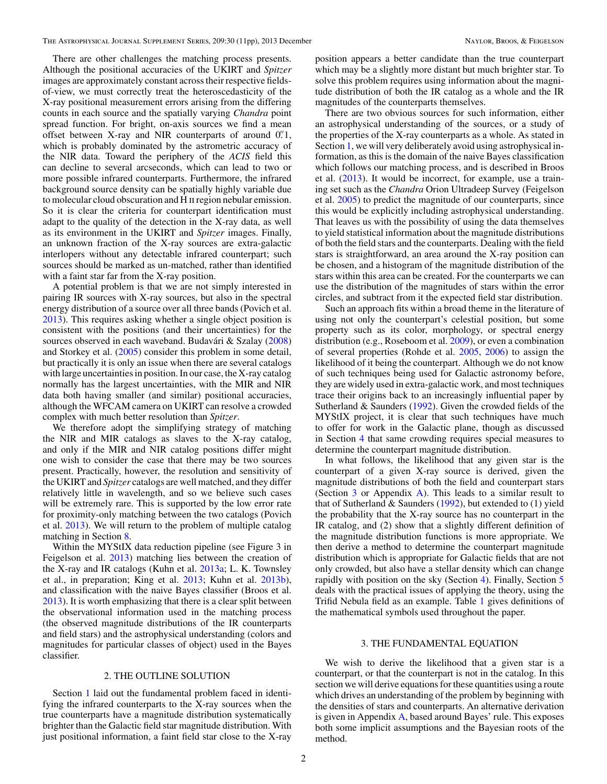<span id="page-1-0"></span>There are other challenges the matching process presents. Although the positional accuracies of the UKIRT and *Spitzer* images are approximately constant across their respective fieldsof-view, we must correctly treat the heteroscedasticity of the X-ray positional measurement errors arising from the differing counts in each source and the spatially varying *Chandra* point spread function. For bright, on-axis sources we find a mean offset between X-ray and NIR counterparts of around 0*.* 1, which is probably dominated by the astrometric accuracy of the NIR data. Toward the periphery of the *ACIS* field this can decline to several arcseconds, which can lead to two or more possible infrared counterparts. Furthermore, the infrared background source density can be spatially highly variable due to molecular cloud obscuration and H II region nebular emission. So it is clear the criteria for counterpart identification must adapt to the quality of the detection in the X-ray data, as well as its environment in the UKIRT and *Spitzer* images. Finally, an unknown fraction of the X-ray sources are extra-galactic interlopers without any detectable infrared counterpart; such sources should be marked as un-matched, rather than identified with a faint star far from the X-ray position.

A potential problem is that we are not simply interested in pairing IR sources with X-ray sources, but also in the spectral energy distribution of a source over all three bands (Povich et al. [2013\)](#page-10-0). This requires asking whether a single object position is consistent with the positions (and their uncertainties) for the sources observed in each waveband. Budavári  $&$  Szalay ([2008\)](#page-10-0) and Storkey et al. [\(2005\)](#page-10-0) consider this problem in some detail, but practically it is only an issue when there are several catalogs with large uncertainties in position. In our case, the X-ray catalog normally has the largest uncertainties, with the MIR and NIR data both having smaller (and similar) positional accuracies, although the WFCAM camera on UKIRT can resolve a crowded complex with much better resolution than *Spitzer*.

We therefore adopt the simplifying strategy of matching the NIR and MIR catalogs as slaves to the X-ray catalog, and only if the MIR and NIR catalog positions differ might one wish to consider the case that there may be two sources present. Practically, however, the resolution and sensitivity of the UKIRT and *Spitzer* catalogs are well matched, and they differ relatively little in wavelength, and so we believe such cases will be extremely rare. This is supported by the low error rate for proximity-only matching between the two catalogs (Povich et al. [2013\)](#page-10-0). We will return to the problem of multiple catalog matching in Section [8.](#page-8-0)

Within the MYStIX data reduction pipeline (see Figure 3 in Feigelson et al. [2013\)](#page-10-0) matching lies between the creation of the X-ray and IR catalogs (Kuhn et al. [2013a;](#page-10-0) L. K. Townsley et al., in preparation; King et al. [2013;](#page-10-0) Kuhn et al. [2013b\)](#page-10-0), and classification with the naive Bayes classifier (Broos et al. [2013\)](#page-10-0). It is worth emphasizing that there is a clear split between the observational information used in the matching process (the observed magnitude distributions of the IR counterparts and field stars) and the astrophysical understanding (colors and magnitudes for particular classes of object) used in the Bayes classifier.

### 2. THE OUTLINE SOLUTION

Section [1](#page-0-0) laid out the fundamental problem faced in identifying the infrared counterparts to the X-ray sources when the true counterparts have a magnitude distribution systematically brighter than the Galactic field star magnitude distribution. With just positional information, a faint field star close to the X-ray

position appears a better candidate than the true counterpart which may be a slightly more distant but much brighter star. To solve this problem requires using information about the magnitude distribution of both the IR catalog as a whole and the IR magnitudes of the counterparts themselves.

There are two obvious sources for such information, either an astrophysical understanding of the sources, or a study of the properties of the X-ray counterparts as a whole. As stated in Section [1,](#page-0-0) we will very deliberately avoid using astrophysical information, as this is the domain of the naive Bayes classification which follows our matching process, and is described in Broos et al. [\(2013\)](#page-10-0). It would be incorrect, for example, use a training set such as the *Chandra* Orion Ultradeep Survey (Feigelson et al. [2005\)](#page-10-0) to predict the magnitude of our counterparts, since this would be explicitly including astrophysical understanding. That leaves us with the possibility of using the data themselves to yield statistical information about the magnitude distributions of both the field stars and the counterparts. Dealing with the field stars is straightforward, an area around the X-ray position can be chosen, and a histogram of the magnitude distribution of the stars within this area can be created. For the counterparts we can use the distribution of the magnitudes of stars within the error circles, and subtract from it the expected field star distribution.

Such an approach fits within a broad theme in the literature of using not only the counterpart's celestial position, but some property such as its color, morphology, or spectral energy distribution (e.g., Roseboom et al. [2009\)](#page-10-0), or even a combination of several properties (Rohde et al. [2005,](#page-10-0) [2006\)](#page-10-0) to assign the likelihood of it being the counterpart. Although we do not know of such techniques being used for Galactic astronomy before, they are widely used in extra-galactic work, and most techniques trace their origins back to an increasingly influential paper by Sutherland & Saunders [\(1992\)](#page-10-0). Given the crowded fields of the MYStIX project, it is clear that such techniques have much to offer for work in the Galactic plane, though as discussed in Section [4](#page-3-0) that same crowding requires special measures to determine the counterpart magnitude distribution.

In what follows, the likelihood that any given star is the counterpart of a given X-ray source is derived, given the magnitude distributions of both the field and counterpart stars (Section  $3$  or Appendix [A\)](#page-9-0). This leads to a similar result to that of Sutherland & Saunders [\(1992\)](#page-10-0), but extended to (1) yield the probability that the X-ray source has no counterpart in the IR catalog, and (2) show that a slightly different definition of the magnitude distribution functions is more appropriate. We then derive a method to determine the counterpart magnitude distribution which is appropriate for Galactic fields that are not only crowded, but also have a stellar density which can change rapidly with position on the sky (Section [4\)](#page-3-0). Finally, Section [5](#page-6-0) deals with the practical issues of applying the theory, using the Trifid Nebula field as an example. Table [1](#page-2-0) gives definitions of the mathematical symbols used throughout the paper.

# 3. THE FUNDAMENTAL EQUATION

We wish to derive the likelihood that a given star is a counterpart, or that the counterpart is not in the catalog. In this section we will derive equations for these quantities using a route which drives an understanding of the problem by beginning with the densities of stars and counterparts. An alternative derivation is given in Appendix [A,](#page-9-0) based around Bayes' rule. This exposes both some implicit assumptions and the Bayesian roots of the method.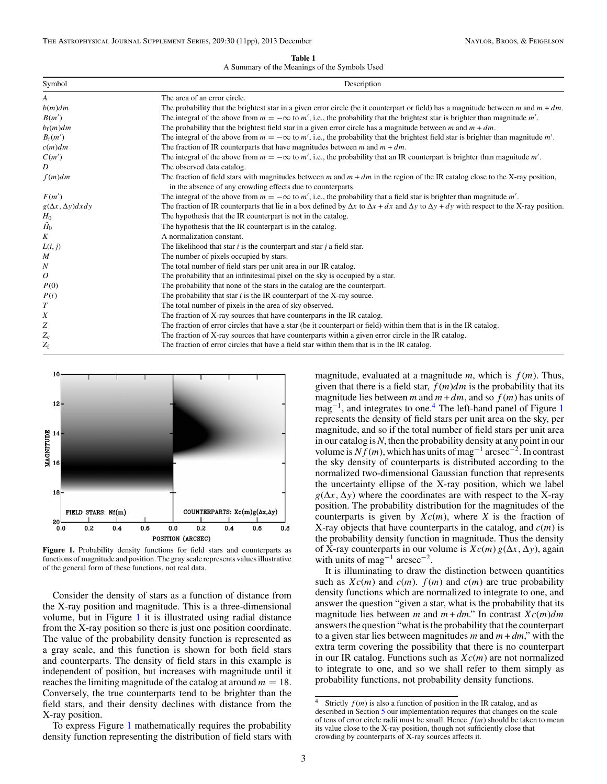**Table 1**

A Summary of the Meanings of the Symbols Used

<span id="page-2-0"></span>

| Symbol                       | Description                                                                                                                                                      |  |  |  |  |
|------------------------------|------------------------------------------------------------------------------------------------------------------------------------------------------------------|--|--|--|--|
| A                            | The area of an error circle.                                                                                                                                     |  |  |  |  |
| $b(m)$ dm                    | The probability that the brightest star in a given error circle (be it counterpart or field) has a magnitude between m and $m + dm$ .                            |  |  |  |  |
| B(m')                        | The integral of the above from $m = -\infty$ to m', i.e., the probability that the brightest star is brighter than magnitude m'.                                 |  |  |  |  |
| $b_f(m)$ dm                  | The probability that the brightest field star in a given error circle has a magnitude between m and $m + dm$ .                                                   |  |  |  |  |
| $B_{\rm f}(m')$              | The integral of the above from $m = -\infty$ to m', i.e., the probability that the brightest field star is brighter than magnitude m'.                           |  |  |  |  |
| $c(m)$ dm                    | The fraction of IR counterparts that have magnitudes between $m$ and $m + dm$ .                                                                                  |  |  |  |  |
| C(m')                        | The integral of the above from $m = -\infty$ to m', i.e., the probability that an IR counterpart is brighter than magnitude m'.                                  |  |  |  |  |
| D                            | The observed data catalog.                                                                                                                                       |  |  |  |  |
| $f(m)$ dm                    | The fraction of field stars with magnitudes between m and $m + dm$ in the region of the IR catalog close to the X-ray position,                                  |  |  |  |  |
|                              | in the absence of any crowding effects due to counterparts.                                                                                                      |  |  |  |  |
| F(m')                        | The integral of the above from $m = -\infty$ to m', i.e., the probability that a field star is brighter than magnitude m'.                                       |  |  |  |  |
| $g(\Delta x, \Delta y)dx dy$ | The fraction of IR counterparts that lie in a box defined by $\Delta x$ to $\Delta x + dx$ and $\Delta y$ to $\Delta y + dy$ with respect to the X-ray position. |  |  |  |  |
|                              | The hypothesis that the IR counterpart is not in the catalog.                                                                                                    |  |  |  |  |
| $\frac{H_0}{\tilde{H}_0}$    | The hypothesis that the IR counterpart is in the catalog.                                                                                                        |  |  |  |  |
| K                            | A normalization constant.                                                                                                                                        |  |  |  |  |
| L(i, j)                      | The likelihood that star $i$ is the counterpart and star $j$ a field star.                                                                                       |  |  |  |  |
| M                            | The number of pixels occupied by stars.                                                                                                                          |  |  |  |  |
| $\boldsymbol{N}$             | The total number of field stars per unit area in our IR catalog.                                                                                                 |  |  |  |  |
| 0                            | The probability that an infinitesimal pixel on the sky is occupied by a star.                                                                                    |  |  |  |  |
| P(0)                         | The probability that none of the stars in the catalog are the counterpart.                                                                                       |  |  |  |  |
| P(i)                         | The probability that star $i$ is the IR counterpart of the X-ray source.                                                                                         |  |  |  |  |
| $\boldsymbol{T}$             | The total number of pixels in the area of sky observed.                                                                                                          |  |  |  |  |
| X                            | The fraction of X-ray sources that have counterparts in the IR catalog.                                                                                          |  |  |  |  |
| Z                            | The fraction of error circles that have a star (be it counterpart or field) within them that is in the IR catalog.                                               |  |  |  |  |
| $Z_{\rm c}$                  | The fraction of X-ray sources that have counterparts within a given error circle in the IR catalog.                                                              |  |  |  |  |
| $Z_{\rm f}$                  | The fraction of error circles that have a field star within them that is in the IR catalog.                                                                      |  |  |  |  |



**Figure 1.** Probability density functions for field stars and counterparts as functions of magnitude and position. The gray scale represents values illustrative of the general form of these functions, not real data.

Consider the density of stars as a function of distance from the X-ray position and magnitude. This is a three-dimensional volume, but in Figure 1 it is illustrated using radial distance from the X-ray position so there is just one position coordinate. The value of the probability density function is represented as a gray scale, and this function is shown for both field stars and counterparts. The density of field stars in this example is independent of position, but increases with magnitude until it reaches the limiting magnitude of the catalog at around  $m = 18$ . Conversely, the true counterparts tend to be brighter than the field stars, and their density declines with distance from the X-ray position.

To express Figure 1 mathematically requires the probability density function representing the distribution of field stars with magnitude, evaluated at a magnitude *m*, which is *f* (*m*). Thus, given that there is a field star, *f* (*m*)*dm* is the probability that its magnitude lies between *m* and  $m + dm$ , and so  $f(m)$  has units of mag−1, and integrates to one.4 The left-hand panel of Figure 1 represents the density of field stars per unit area on the sky, per magnitude, and so if the total number of field stars per unit area in our catalog is*N*, then the probability density at any point in our volume is*Nf* (*m*), which has units of mag−<sup>1</sup> arcsec−2. In contrast the sky density of counterparts is distributed according to the normalized two-dimensional Gaussian function that represents the uncertainty ellipse of the X-ray position, which we label  $g(\Delta x, \Delta y)$  where the coordinates are with respect to the X-ray position. The probability distribution for the magnitudes of the counterparts is given by  $Xc(m)$ , where *X* is the fraction of X-ray objects that have counterparts in the catalog, and *c*(*m*) is the probability density function in magnitude. Thus the density of X-ray counterparts in our volume is  $Xc(m)g(\Delta x, \Delta y)$ , again with units of mag<sup>-1</sup> arcsec<sup>-2</sup>.

It is illuminating to draw the distinction between quantities such as  $Xc(m)$  and  $c(m)$ .  $f(m)$  and  $c(m)$  are true probability density functions which are normalized to integrate to one, and answer the question "given a star, what is the probability that its magnitude lies between *m* and  $m + dm$ ." In contrast  $Xc(m)dm$ answers the question "what is the probability that the counterpart to a given star lies between magnitudes  $m$  and  $m + dm$ ," with the extra term covering the possibility that there is no counterpart in our IR catalog. Functions such as *Xc*(*m*) are not normalized to integrate to one, and so we shall refer to them simply as probability functions, not probability density functions.

<sup>&</sup>lt;sup>4</sup> Strictly  $f(m)$  is also a function of position in the IR catalog, and as described in Section [5](#page-6-0) our implementation requires that changes on the scale of tens of error circle radii must be small. Hence *f* (*m*) should be taken to mean its value close to the X-ray position, though not sufficiently close that crowding by counterparts of X-ray sources affects it.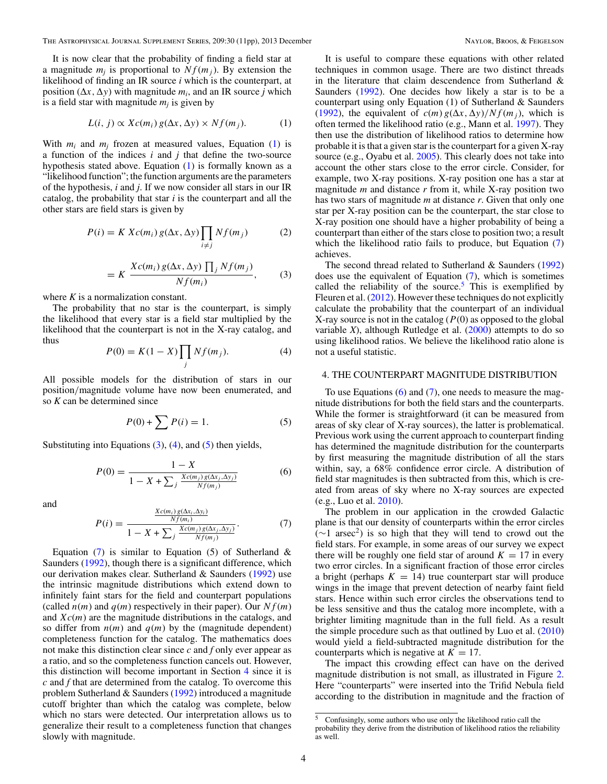<span id="page-3-0"></span>It is now clear that the probability of finding a field star at a magnitude  $m_i$  is proportional to  $Nf(m_i)$ . By extension the likelihood of finding an IR source *i* which is the counterpart, at position  $(\Delta x, \Delta y)$  with magnitude  $m_i$ , and an IR source *j* which is a field star with magnitude  $m_i$  is given by

$$
L(i, j) \propto Xc(m_i) g(\Delta x, \Delta y) \times Nf(m_j). \tag{1}
$$

With  $m_i$  and  $m_j$  frozen at measured values, Equation (1) is a function of the indices *i* and *j* that define the two-source hypothesis stated above. Equation (1) is formally known as a "likelihood function"; the function arguments are the parameters of the hypothesis, *i* and *j*. If we now consider all stars in our IR catalog, the probability that star *i* is the counterpart and all the other stars are field stars is given by

$$
P(i) = K Xc(m_i) g(\Delta x, \Delta y) \prod_{i \neq j} Nf(m_j)
$$
 (2)

$$
= K \frac{Xc(m_i) g(\Delta x, \Delta y) \prod_j Nf(m_j)}{Nf(m_i)}, \qquad (3)
$$

where *K* is a normalization constant.

The probability that no star is the counterpart, is simply the likelihood that every star is a field star multiplied by the likelihood that the counterpart is not in the X-ray catalog, and thus

$$
P(0) = K(1 - X) \prod_j Nf(m_j). \tag{4}
$$

All possible models for the distribution of stars in our position*/*magnitude volume have now been enumerated, and so *K* can be determined since

$$
P(0) + \sum P(i) = 1.
$$
 (5)

Substituting into Equations  $(3)$ ,  $(4)$ , and  $(5)$  then yields,

$$
P(0) = \frac{1 - X}{1 - X + \sum_{j} \frac{Xc(m_j)g(\Delta x_j, \Delta y_j)}{Nf(m_j)}}
$$
(6)

and

$$
P(i) = \frac{\frac{X_{c(m_i)g(\Delta x_i, \Delta y_i)}}{Nf(m_i)}}{1 - X + \sum_{j} \frac{X_{c(m_j)g(\Delta x_j, \Delta y_j)}}{Nf(m_j)}}.
$$
(7)

Equation  $(7)$  is similar to Equation  $(5)$  of Sutherland & Saunders [\(1992\)](#page-10-0), though there is a significant difference, which our derivation makes clear. Sutherland & Saunders [\(1992\)](#page-10-0) use the intrinsic magnitude distributions which extend down to infinitely faint stars for the field and counterpart populations (called  $n(m)$  and  $q(m)$  respectively in their paper). Our  $Nf(m)$ and *Xc*(*m*) are the magnitude distributions in the catalogs, and so differ from  $n(m)$  and  $q(m)$  by the (magnitude dependent) completeness function for the catalog. The mathematics does not make this distinction clear since *c* and *f* only ever appear as a ratio, and so the completeness function cancels out. However, this distinction will become important in Section 4 since it is *c* and *f* that are determined from the catalog. To overcome this problem Sutherland & Saunders [\(1992\)](#page-10-0) introduced a magnitude cutoff brighter than which the catalog was complete, below which no stars were detected. Our interpretation allows us to generalize their result to a completeness function that changes slowly with magnitude.

It is useful to compare these equations with other related techniques in common usage. There are two distinct threads in the literature that claim descendence from Sutherland & Saunders [\(1992\)](#page-10-0). One decides how likely a star is to be a counterpart using only Equation (1) of Sutherland & Saunders [\(1992\)](#page-10-0), the equivalent of  $c(m) g(\Delta x, \Delta y)/Nf(m_i)$ , which is often termed the likelihood ratio (e.g., Mann et al. [1997\)](#page-10-0). They then use the distribution of likelihood ratios to determine how probable it is that a given star is the counterpart for a given X-ray source (e.g., Oyabu et al. [2005\)](#page-10-0). This clearly does not take into account the other stars close to the error circle. Consider, for example, two X-ray positions. X-ray position one has a star at magnitude *m* and distance *r* from it, while X-ray position two has two stars of magnitude *m* at distance *r*. Given that only one star per X-ray position can be the counterpart, the star close to X-ray position one should have a higher probability of being a counterpart than either of the stars close to position two; a result which the likelihood ratio fails to produce, but Equation (7) achieves.

The second thread related to Sutherland & Saunders [\(1992\)](#page-10-0) does use the equivalent of Equation (7), which is sometimes called the reliability of the source.<sup>5</sup> This is exemplified by Fleuren et al. [\(2012\)](#page-10-0). However these techniques do not explicitly calculate the probability that the counterpart of an individual X-ray source is not in the catalog  $(P(0))$  as opposed to the global variable *X*), although Rutledge et al. [\(2000\)](#page-10-0) attempts to do so using likelihood ratios. We believe the likelihood ratio alone is not a useful statistic.

## 4. THE COUNTERPART MAGNITUDE DISTRIBUTION

To use Equations  $(6)$  and  $(7)$ , one needs to measure the magnitude distributions for both the field stars and the counterparts. While the former is straightforward (it can be measured from areas of sky clear of X-ray sources), the latter is problematical. Previous work using the current approach to counterpart finding has determined the magnitude distribution for the counterparts by first measuring the magnitude distribution of all the stars within, say, a 68% confidence error circle. A distribution of field star magnitudes is then subtracted from this, which is created from areas of sky where no X-ray sources are expected (e.g., Luo et al. [2010\)](#page-10-0).

The problem in our application in the crowded Galactic plane is that our density of counterparts within the error circles  $(\sim 1 \text{ arc})$  is so high that they will tend to crowd out the field stars. For example, in some areas of our survey we expect there will be roughly one field star of around  $K = 17$  in every two error circles. In a significant fraction of those error circles a bright (perhaps  $K = 14$ ) true counterpart star will produce wings in the image that prevent detection of nearby faint field stars. Hence within such error circles the observations tend to be less sensitive and thus the catalog more incomplete, with a brighter limiting magnitude than in the full field. As a result the simple procedure such as that outlined by Luo et al. [\(2010\)](#page-10-0) would yield a field-subtracted magnitude distribution for the counterparts which is negative at  $K = 17$ .

The impact this crowding effect can have on the derived magnitude distribution is not small, as illustrated in Figure [2.](#page-4-0) Here "counterparts" were inserted into the Trifid Nebula field according to the distribution in magnitude and the fraction of

<sup>5</sup> Confusingly, some authors who use only the likelihood ratio call the probability they derive from the distribution of likelihood ratios the reliability as well.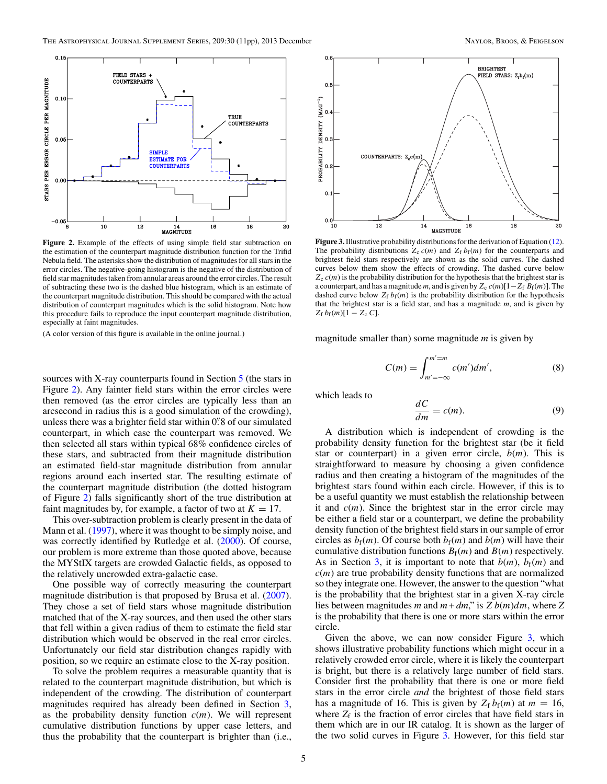<span id="page-4-0"></span>

**Figure 2.** Example of the effects of using simple field star subtraction on the estimation of the counterpart magnitude distribution function for the Trifid Nebula field. The asterisks show the distribution of magnitudes for all stars in the error circles. The negative-going histogram is the negative of the distribution of field star magnitudes taken from annular areas around the error circles. The result of subtracting these two is the dashed blue histogram, which is an estimate of the counterpart magnitude distribution. This should be compared with the actual distribution of counterpart magnitudes which is the solid histogram. Note how this procedure fails to reproduce the input counterpart magnitude distribution, especially at faint magnitudes.

(A color version of this figure is available in the online journal.)

sources with X-ray counterparts found in Section [5](#page-6-0) (the stars in Figure 2). Any fainter field stars within the error circles were then removed (as the error circles are typically less than an arcsecond in radius this is a good simulation of the crowding), unless there was a brighter field star within 0*.* 8 of our simulated counterpart, in which case the counterpart was removed. We then selected all stars within typical 68% confidence circles of these stars, and subtracted from their magnitude distribution an estimated field-star magnitude distribution from annular regions around each inserted star. The resulting estimate of the counterpart magnitude distribution (the dotted histogram of Figure 2) falls significantly short of the true distribution at faint magnitudes by, for example, a factor of two at  $K = 17$ .

This over-subtraction problem is clearly present in the data of Mann et al. [\(1997\)](#page-10-0), where it was thought to be simply noise, and was correctly identified by Rutledge et al. [\(2000\)](#page-10-0). Of course, our problem is more extreme than those quoted above, because the MYStIX targets are crowded Galactic fields, as opposed to the relatively uncrowded extra-galactic case.

One possible way of correctly measuring the counterpart magnitude distribution is that proposed by Brusa et al. [\(2007\)](#page-10-0). They chose a set of field stars whose magnitude distribution matched that of the X-ray sources, and then used the other stars that fell within a given radius of them to estimate the field star distribution which would be observed in the real error circles. Unfortunately our field star distribution changes rapidly with position, so we require an estimate close to the X-ray position.

To solve the problem requires a measurable quantity that is related to the counterpart magnitude distribution, but which is independent of the crowding. The distribution of counterpart magnitudes required has already been defined in Section [3,](#page-1-0) as the probability density function  $c(m)$ . We will represent cumulative distribution functions by upper case letters, and thus the probability that the counterpart is brighter than (i.e.,



**Figure 3.**Illustrative probability distributions for the derivation of Equation [\(12\)](#page-5-0). The probability distributions  $Z_c$   $c(m)$  and  $Z_f$   $b_f(m)$  for the counterparts and brightest field stars respectively are shown as the solid curves. The dashed curves below them show the effects of crowding. The dashed curve below  $Z_c$   $c(m)$  is the probability distribution for the hypothesis that the brightest star is a counterpart, and has a magnitude *m*, and is given by  $Z_c c(m)[1-Z_f B_f(m)]$ . The dashed curve below  $Z_f b_f(m)$  is the probability distribution for the hypothesis that the brightest star is a field star, and has a magnitude *m*, and is given by  $Z_f b_f(m)[1 - Z_c C].$ 

magnitude smaller than) some magnitude *m* is given by

$$
C(m) = \int_{m'=-\infty}^{m'=m} c(m')dm',
$$
 (8)

which leads to

$$
\frac{dC}{dm} = c(m). \tag{9}
$$

A distribution which is independent of crowding is the probability density function for the brightest star (be it field star or counterpart) in a given error circle,  $b(m)$ . This is straightforward to measure by choosing a given confidence radius and then creating a histogram of the magnitudes of the brightest stars found within each circle. However, if this is to be a useful quantity we must establish the relationship between it and  $c(m)$ . Since the brightest star in the error circle may be either a field star or a counterpart, we define the probability density function of the brightest field stars in our sample of error circles as  $b_f(m)$ . Of course both  $b_f(m)$  and  $b(m)$  will have their cumulative distribution functions  $B_f(m)$  and  $B(m)$  respectively. As in Section [3,](#page-1-0) it is important to note that  $b(m)$ ,  $b_f(m)$  and  $c(m)$  are true probability density functions that are normalized so they integrate one. However, the answer to the question "what is the probability that the brightest star in a given X-ray circle lies between magnitudes *m* and *m* + *dm*," is *Z b*(*m*)*dm*, where *Z* is the probability that there is one or more stars within the error circle.

Given the above, we can now consider Figure 3, which shows illustrative probability functions which might occur in a relatively crowded error circle, where it is likely the counterpart is bright, but there is a relatively large number of field stars. Consider first the probability that there is one or more field stars in the error circle *and* the brightest of those field stars has a magnitude of 16. This is given by  $Z_f b_f(m)$  at  $m = 16$ , where  $Z_f$  is the fraction of error circles that have field stars in them which are in our IR catalog. It is shown as the larger of the two solid curves in Figure 3. However, for this field star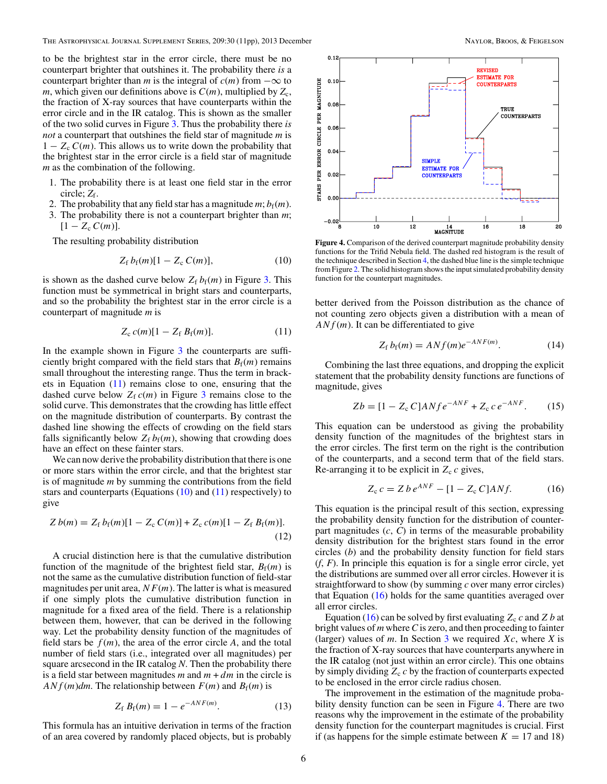<span id="page-5-0"></span>to be the brightest star in the error circle, there must be no counterpart brighter that outshines it. The probability there *is* a counterpart brighter than *m* is the integral of  $c(m)$  from  $-\infty$  to *m*, which given our definitions above is  $C(m)$ , multiplied by  $Z_c$ , the fraction of X-ray sources that have counterparts within the error circle and in the IR catalog. This is shown as the smaller of the two solid curves in Figure [3.](#page-4-0) Thus the probability there *is not* a counterpart that outshines the field star of magnitude *m* is  $1 - Z_c C(m)$ . This allows us to write down the probability that the brightest star in the error circle is a field star of magnitude *m* as the combination of the following.

- 1. The probability there is at least one field star in the error circle; *Z*f.
- 2. The probability that any field star has a magnitude  $m; b_f(m)$ .
- 3. The probability there is not a counterpart brighter than *m*;  $[1 - Z_c C(m)].$

The resulting probability distribution

$$
Z_{\rm f} b_{\rm f}(m)[1 - Z_{\rm c} C(m)],\tag{10}
$$

is shown as the dashed curve below  $Z_f b_f(m)$  in Figure [3.](#page-4-0) This function must be symmetrical in bright stars and counterparts, and so the probability the brightest star in the error circle is a counterpart of magnitude *m* is

$$
Z_{c} c(m)[1 - Z_{f} B_{f}(m)]. \qquad (11)
$$

In the example shown in Figure [3](#page-4-0) the counterparts are sufficiently bright compared with the field stars that  $B_f(m)$  remains small throughout the interesting range. Thus the term in brackets in Equation (11) remains close to one, ensuring that the dashed curve below  $Z_f c(m)$  in Figure [3](#page-4-0) remains close to the solid curve. This demonstrates that the crowding has little effect on the magnitude distribution of counterparts. By contrast the dashed line showing the effects of crowding on the field stars falls significantly below  $Z_f b_f(m)$ , showing that crowding does have an effect on these fainter stars.

We can now derive the probability distribution that there is one or more stars within the error circle, and that the brightest star is of magnitude *m* by summing the contributions from the field stars and counterparts (Equations  $(10)$  and  $(11)$  respectively) to give

$$
Z b(m) = Z_{\rm f} b_{\rm f}(m)[1 - Z_{\rm c} C(m)] + Z_{\rm c} c(m)[1 - Z_{\rm f} B_{\rm f}(m)].
$$
\n(12)

A crucial distinction here is that the cumulative distribution function of the magnitude of the brightest field star,  $B_f(m)$  is not the same as the cumulative distribution function of field-star magnitudes per unit area,  $NF(m)$ . The latter is what is measured if one simply plots the cumulative distribution function in magnitude for a fixed area of the field. There is a relationship between them, however, that can be derived in the following way. Let the probability density function of the magnitudes of field stars be  $f(m)$ , the area of the error circle A, and the total number of field stars (i.e., integrated over all magnitudes) per square arcsecond in the IR catalog *N*. Then the probability there is a field star between magnitudes  $m$  and  $m + dm$  in the circle is  $ANf(m)dm$ . The relationship between  $F(m)$  and  $B_f(m)$  is

$$
Z_f B_f(m) = 1 - e^{-ANF(m)}.
$$
 (13)

This formula has an intuitive derivation in terms of the fraction of an area covered by randomly placed objects, but is probably



**Figure 4.** Comparison of the derived counterpart magnitude probability density functions for the Trifid Nebula field. The dashed red histogram is the result of the technique described in Section [4,](#page-3-0) the dashed blue line is the simple technique from Figure [2.](#page-4-0) The solid histogram shows the input simulated probability density function for the counterpart magnitudes.

better derived from the Poisson distribution as the chance of not counting zero objects given a distribution with a mean of *ANf* (*m*). It can be differentiated to give

$$
Z_{\rm f} b_{\rm f}(m) = ANf(m)e^{-ANF(m)}.
$$
 (14)

Combining the last three equations, and dropping the explicit statement that the probability density functions are functions of magnitude, gives

$$
Zb = [1 - Z_c C] ANfe^{-ANF} + Z_c c e^{-ANF}.
$$
 (15)

This equation can be understood as giving the probability density function of the magnitudes of the brightest stars in the error circles. The first term on the right is the contribution of the counterparts, and a second term that of the field stars. Re-arranging it to be explicit in  $Z_c c$  gives,

$$
Z_c c = Z b e^{ANF} - [1 - Z_c C] A N f.
$$
 (16)

This equation is the principal result of this section, expressing the probability density function for the distribution of counterpart magnitudes  $(c, C)$  in terms of the measurable probability density distribution for the brightest stars found in the error circles (*b*) and the probability density function for field stars (*f*, *F*). In principle this equation is for a single error circle, yet the distributions are summed over all error circles. However it is straightforward to show (by summing *c* over many error circles) that Equation  $(16)$  holds for the same quantities averaged over all error circles.

Equation (16) can be solved by first evaluating  $Z_c c$  and  $Z b$  at bright values of *m* where*C*is zero, and then proceeding to fainter (larger) values of *m*. In Section [3](#page-1-0) we required  $Xc$ , where  $X$  is the fraction of X-ray sources that have counterparts anywhere in the IR catalog (not just within an error circle). This one obtains by simply dividing  $Z_c c$  by the fraction of counterparts expected to be enclosed in the error circle radius chosen.

The improvement in the estimation of the magnitude probability density function can be seen in Figure 4. There are two reasons why the improvement in the estimate of the probability density function for the counterpart magnitudes is crucial. First if (as happens for the simple estimate between  $K = 17$  and 18)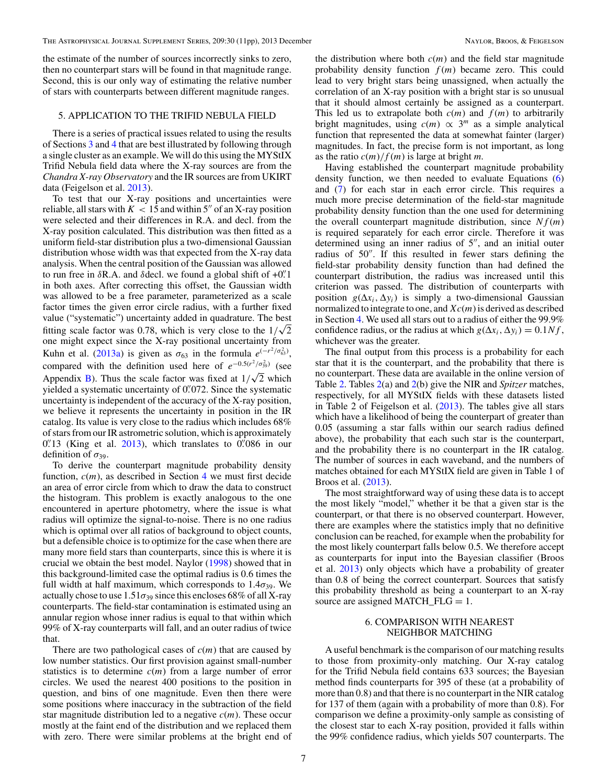<span id="page-6-0"></span>the estimate of the number of sources incorrectly sinks to zero, then no counterpart stars will be found in that magnitude range. Second, this is our only way of estimating the relative number of stars with counterparts between different magnitude ranges.

### 5. APPLICATION TO THE TRIFID NEBULA FIELD

There is a series of practical issues related to using the results of Sections [3](#page-1-0) and [4](#page-3-0) that are best illustrated by following through a single cluster as an example. We will do this using the MYStIX Trifid Nebula field data where the X-ray sources are from the *Chandra X-ray Observatory* and the IR sources are from UKIRT data (Feigelson et al. [2013\)](#page-10-0).

To test that our X-ray positions and uncertainties were reliable, all stars with  $K < 15$  and within 5" of an X-ray position were selected and their differences in R.A. and decl. from the X-ray position calculated. This distribution was then fitted as a uniform field-star distribution plus a two-dimensional Gaussian distribution whose width was that expected from the X-ray data analysis. When the central position of the Gaussian was allowed to run free in *δ*R.A. and *δ*decl. we found a global shift of +0*.* 1 in both axes. After correcting this offset, the Gaussian width was allowed to be a free parameter, parameterized as a scale factor times the given error circle radius, with a further fixed value ("systematic") uncertainty added in quadrature. The best fitting scale factor was 0.78, which is very close to the  $1/\sqrt{2}$ one might expect since the X-ray positional uncertainty from Kuhn et al. [\(2013a\)](#page-10-0) is given as  $\sigma_{63}$  in the formula  $e^{(-r^2/\sigma_{63}^2)}$ , compared with the definition used here of  $e^{-0.5(r^2/\sigma_{39}^2)}$  (see Appendix [B\)](#page-10-0). Thus the scale factor was fixed at  $1/\sqrt{2}$  which yielded a systematic uncertainty of 0.<sup>2</sup>072. Since the systematic uncertainty is independent of the accuracy of the X-ray position, we believe it represents the uncertainty in position in the IR catalog. Its value is very close to the radius which includes 68% of stars from our IR astrometric solution, which is approximately  $0.^{\prime\prime}$ 13 (King et al. [2013\)](#page-10-0), which translates to  $0.^{\prime\prime}$ 086 in our definition of  $\sigma_{39}$ .

To derive the counterpart magnitude probability density function,  $c(m)$ , as described in Section [4](#page-3-0) we must first decide an area of error circle from which to draw the data to construct the histogram. This problem is exactly analogous to the one encountered in aperture photometry, where the issue is what radius will optimize the signal-to-noise. There is no one radius which is optimal over all ratios of background to object counts, but a defensible choice is to optimize for the case when there are many more field stars than counterparts, since this is where it is crucial we obtain the best model. Naylor [\(1998\)](#page-10-0) showed that in this background-limited case the optimal radius is 0.6 times the full width at half maximum, which corresponds to  $1.4\sigma_{39}$ . We actually chose to use  $1.51\sigma_{39}$  since this encloses 68% of all X-ray counterparts. The field-star contamination is estimated using an annular region whose inner radius is equal to that within which 99% of X-ray counterparts will fall, and an outer radius of twice that.

There are two pathological cases of *c*(*m*) that are caused by low number statistics. Our first provision against small-number statistics is to determine *c*(*m*) from a large number of error circles. We used the nearest 400 positions to the position in question, and bins of one magnitude. Even then there were some positions where inaccuracy in the subtraction of the field star magnitude distribution led to a negative *c*(*m*). These occur mostly at the faint end of the distribution and we replaced them with zero. There were similar problems at the bright end of

the distribution where both  $c(m)$  and the field star magnitude probability density function *f* (*m*) became zero. This could lead to very bright stars being unassigned, when actually the correlation of an X-ray position with a bright star is so unusual that it should almost certainly be assigned as a counterpart. This led us to extrapolate both  $c(m)$  and  $f(m)$  to arbitrarily bright magnitudes, using  $c(m) \propto 3^m$  as a simple analytical function that represented the data at somewhat fainter (larger) magnitudes. In fact, the precise form is not important, as long as the ratio  $c(m)/f(m)$  is large at bright *m*.

Having established the counterpart magnitude probability density function, we then needed to evaluate Equations [\(6\)](#page-3-0) and [\(7\)](#page-3-0) for each star in each error circle. This requires a much more precise determination of the field-star magnitude probability density function than the one used for determining the overall counterpart magnitude distribution, since  $Nf(m)$ is required separately for each error circle. Therefore it was determined using an inner radius of  $5$ ", and an initial outer radius of 50". If this resulted in fewer stars defining the field-star probability density function than had defined the counterpart distribution, the radius was increased until this criterion was passed. The distribution of counterparts with position  $g(\Delta x_i, \Delta y_i)$  is simply a two-dimensional Gaussian normalized to integrate to one, and *Xc*(*m*) is derived as described in Section [4.](#page-3-0) We used all stars out to a radius of either the 99.9% confidence radius, or the radius at which  $g(\Delta x_i, \Delta y_i) = 0.1 Nf$ , whichever was the greater.

The final output from this process is a probability for each star that it is the counterpart, and the probability that there is no counterpart. These data are available in the online version of Table [2.](#page-7-0) Tables [2\(](#page-7-0)a) and [2\(](#page-7-0)b) give the NIR and *Spitzer* matches, respectively, for all MYStIX fields with these datasets listed in Table 2 of Feigelson et al. [\(2013\)](#page-10-0). The tables give all stars which have a likelihood of being the counterpart of greater than 0.05 (assuming a star falls within our search radius defined above), the probability that each such star is the counterpart, and the probability there is no counterpart in the IR catalog. The number of sources in each waveband, and the numbers of matches obtained for each MYStIX field are given in Table 1 of Broos et al. [\(2013\)](#page-10-0).

The most straightforward way of using these data is to accept the most likely "model," whether it be that a given star is the counterpart, or that there is no observed counterpart. However, there are examples where the statistics imply that no definitive conclusion can be reached, for example when the probability for the most likely counterpart falls below 0.5. We therefore accept as counterparts for input into the Bayesian classifier (Broos et al. [2013\)](#page-10-0) only objects which have a probability of greater than 0.8 of being the correct counterpart. Sources that satisfy this probability threshold as being a counterpart to an X-ray source are assigned MATCH\_FLG  $= 1$ .

# 6. COMPARISON WITH NEAREST NEIGHBOR MATCHING

A useful benchmark is the comparison of our matching results to those from proximity-only matching. Our X-ray catalog for the Trifid Nebula field contains 633 sources; the Bayesian method finds counterparts for 395 of these (at a probability of more than 0.8) and that there is no counterpart in the NIR catalog for 137 of them (again with a probability of more than 0.8). For comparison we define a proximity-only sample as consisting of the closest star to each X-ray position, provided it falls within the 99% confidence radius, which yields 507 counterparts. The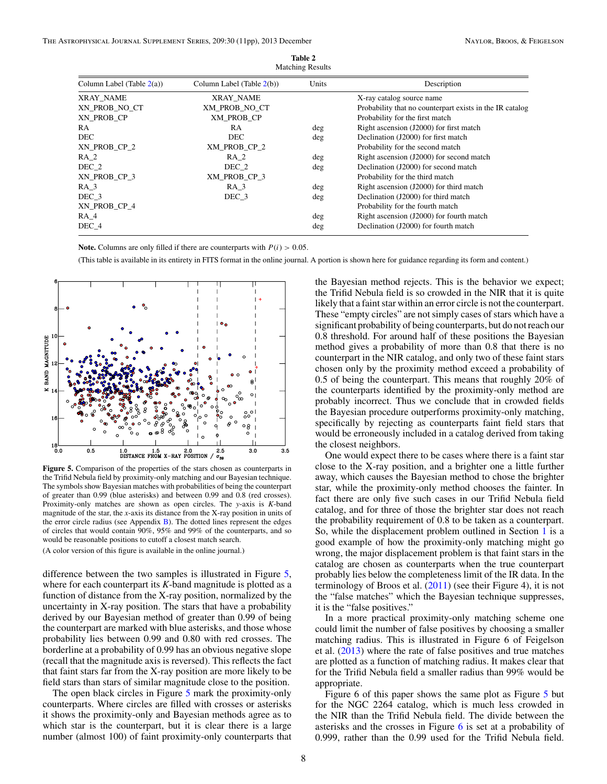<span id="page-7-0"></span>

| <b>Matching Results</b>      |                              |       |                                                          |  |  |  |
|------------------------------|------------------------------|-------|----------------------------------------------------------|--|--|--|
| Column Label (Table $2(a)$ ) | Column Label (Table $2(b)$ ) | Units | Description                                              |  |  |  |
| XRAY NAME                    | XRAY NAME                    |       | X-ray catalog source name                                |  |  |  |
| XN PROB NO CT                | XM PROB NO CT                |       | Probability that no counterpart exists in the IR catalog |  |  |  |
| XN PROB CP                   | XM_PROB_CP                   |       | Probability for the first match                          |  |  |  |
| RA                           | RA                           | deg   | Right ascension (J2000) for first match                  |  |  |  |
| <b>DEC</b>                   | DEC                          | deg   | Declination (J2000) for first match                      |  |  |  |
| XN PROB CP 2                 | XM PROB CP 2                 |       | Probability for the second match                         |  |  |  |
| RA <sub>2</sub>              | <b>RA</b> 2                  | deg   | Right ascension (J2000) for second match                 |  |  |  |
| DEC 2                        | DEC 2                        | deg   | Declination (J2000) for second match                     |  |  |  |
| XN PROB CP 3                 | XM_PROB_CP_3                 |       | Probability for the third match                          |  |  |  |
| $RA_3$                       | RA <sub>3</sub>              | deg   | Right ascension (J2000) for third match                  |  |  |  |
| DEC 3                        | DEC 3                        | deg   | Declination (J2000) for third match                      |  |  |  |
| XN PROB CP 4                 |                              |       | Probability for the fourth match                         |  |  |  |
| RA 4                         |                              | deg   | Right ascension (J2000) for fourth match                 |  |  |  |
| DEC 4                        |                              | deg   | Declination (J2000) for fourth match                     |  |  |  |

**Table 2**

**Note.** Columns are only filled if there are counterparts with  $P(i) > 0.05$ .

(This table is available in its entirety in FITS format in the online journal. A portion is shown here for guidance regarding its form and content.)



**Figure 5.** Comparison of the properties of the stars chosen as counterparts in the Trifid Nebula field by proximity-only matching and our Bayesian technique. The symbols show Bayesian matches with probabilities of being the counterpart of greater than 0.99 (blue asterisks) and between 0.99 and 0.8 (red crosses). Proximity-only matches are shown as open circles. The *y*-axis is *K*-band magnitude of the star, the *x*-axis its distance from the X-ray position in units of the error circle radius (see Appendix  $B$ ). The dotted lines represent the edges of circles that would contain 90%, 95% and 99% of the counterparts, and so would be reasonable positions to cutoff a closest match search.

(A color version of this figure is available in the online journal.)

difference between the two samples is illustrated in Figure 5, where for each counterpart its *K*-band magnitude is plotted as a function of distance from the X-ray position, normalized by the uncertainty in X-ray position. The stars that have a probability derived by our Bayesian method of greater than 0.99 of being the counterpart are marked with blue asterisks, and those whose probability lies between 0.99 and 0.80 with red crosses. The borderline at a probability of 0.99 has an obvious negative slope (recall that the magnitude axis is reversed). This reflects the fact that faint stars far from the X-ray position are more likely to be field stars than stars of similar magnitude close to the position.

The open black circles in Figure 5 mark the proximity-only counterparts. Where circles are filled with crosses or asterisks it shows the proximity-only and Bayesian methods agree as to which star is the counterpart, but it is clear there is a large number (almost 100) of faint proximity-only counterparts that

the Bayesian method rejects. This is the behavior we expect; the Trifid Nebula field is so crowded in the NIR that it is quite likely that a faint star within an error circle is not the counterpart. These "empty circles" are not simply cases of stars which have a significant probability of being counterparts, but do not reach our 0.8 threshold. For around half of these positions the Bayesian method gives a probability of more than 0.8 that there is no counterpart in the NIR catalog, and only two of these faint stars chosen only by the proximity method exceed a probability of 0.5 of being the counterpart. This means that roughly 20% of the counterparts identified by the proximity-only method are probably incorrect. Thus we conclude that in crowded fields the Bayesian procedure outperforms proximity-only matching, specifically by rejecting as counterparts faint field stars that would be erroneously included in a catalog derived from taking the closest neighbors.

One would expect there to be cases where there is a faint star close to the X-ray position, and a brighter one a little further away, which causes the Bayesian method to chose the brighter star, while the proximity-only method chooses the fainter. In fact there are only five such cases in our Trifid Nebula field catalog, and for three of those the brighter star does not reach the probability requirement of 0.8 to be taken as a counterpart. So, while the displacement problem outlined in Section [1](#page-0-0) is a good example of how the proximity-only matching might go wrong, the major displacement problem is that faint stars in the catalog are chosen as counterparts when the true counterpart probably lies below the completeness limit of the IR data. In the terminology of Broos et al.  $(2011)$  (see their Figure 4), it is not the "false matches" which the Bayesian technique suppresses, it is the "false positives."

In a more practical proximity-only matching scheme one could limit the number of false positives by choosing a smaller matching radius. This is illustrated in Figure 6 of Feigelson et al. [\(2013\)](#page-10-0) where the rate of false positives and true matches are plotted as a function of matching radius. It makes clear that for the Trifid Nebula field a smaller radius than 99% would be appropriate.

Figure 6 of this paper shows the same plot as Figure 5 but for the NGC 2264 catalog, which is much less crowded in the NIR than the Trifid Nebula field. The divide between the asterisks and the crosses in Figure [6](#page-8-0) is set at a probability of 0.999, rather than the 0.99 used for the Trifid Nebula field.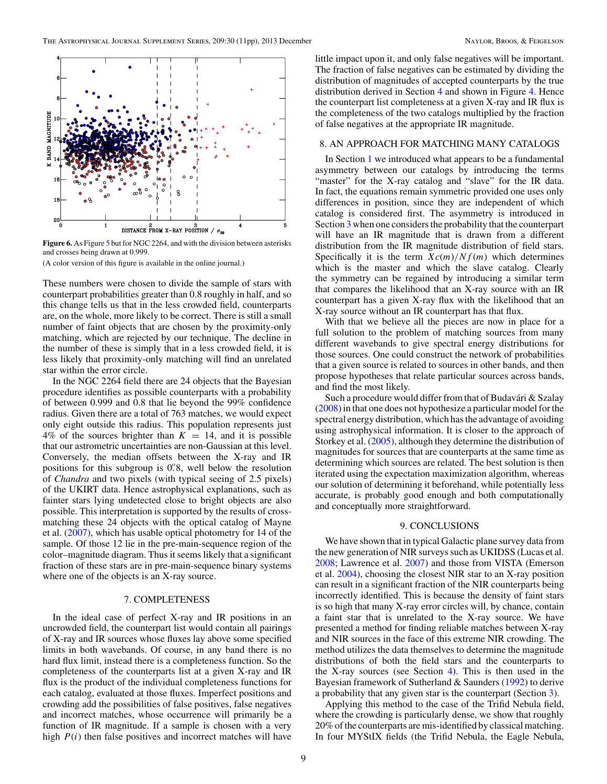<span id="page-8-0"></span>

**Figure 6.** As Figure [5](#page-7-0) but for NGC 2264, and with the division between asterisks and crosses being drawn at 0.999.

(A color version of this figure is available in the online journal.)

These numbers were chosen to divide the sample of stars with counterpart probabilities greater than 0.8 roughly in half, and so this change tells us that in the less crowded field, counterparts are, on the whole, more likely to be correct. There is still a small number of faint objects that are chosen by the proximity-only matching, which are rejected by our technique. The decline in the number of these is simply that in a less crowded field, it is less likely that proximity-only matching will find an unrelated star within the error circle.

In the NGC 2264 field there are 24 objects that the Bayesian procedure identifies as possible counterparts with a probability of between 0.999 and 0.8 that lie beyond the 99% confidence radius. Given there are a total of 763 matches, we would expect only eight outside this radius. This population represents just 4% of the sources brighter than  $K = 14$ , and it is possible that our astrometric uncertainties are non-Gaussian at this level. Conversely, the median offsets between the X-ray and IR positions for this subgroup is 0*.* 8, well below the resolution of *Chandra* and two pixels (with typical seeing of 2.5 pixels) of the UKIRT data. Hence astrophysical explanations, such as fainter stars lying undetected close to bright objects are also possible. This interpretation is supported by the results of crossmatching these 24 objects with the optical catalog of Mayne et al. [\(2007\)](#page-10-0), which has usable optical photometry for 14 of the sample. Of those 12 lie in the pre-main-sequence region of the color–magnitude diagram. Thus it seems likely that a significant fraction of these stars are in pre-main-sequence binary systems where one of the objects is an X-ray source.

# 7. COMPLETENESS

In the ideal case of perfect X-ray and IR positions in an uncrowded field, the counterpart list would contain all pairings of X-ray and IR sources whose fluxes lay above some specified limits in both wavebands. Of course, in any band there is no hard flux limit, instead there is a completeness function. So the completeness of the counterparts list at a given X-ray and IR flux is the product of the individual completeness functions for each catalog, evaluated at those fluxes. Imperfect positions and crowding add the possibilities of false positives, false negatives and incorrect matches, whose occurrence will primarily be a function of IR magnitude. If a sample is chosen with a very high  $P(i)$  then false positives and incorrect matches will have little impact upon it, and only false negatives will be important. The fraction of false negatives can be estimated by dividing the distribution of magnitudes of accepted counterparts by the true distribution derived in Section [4](#page-3-0) and shown in Figure [4.](#page-5-0) Hence the counterpart list completeness at a given X-ray and IR flux is the completeness of the two catalogs multiplied by the fraction of false negatives at the appropriate IR magnitude.

### 8. AN APPROACH FOR MATCHING MANY CATALOGS

In Section [1](#page-0-0) we introduced what appears to be a fundamental asymmetry between our catalogs by introducing the terms "master" for the X-ray catalog and "slave" for the IR data. In fact, the equations remain symmetric provided one uses only differences in position, since they are independent of which catalog is considered first. The asymmetry is introduced in Section [3](#page-1-0) when one considers the probability that the counterpart will have an IR magnitude that is drawn from a different distribution from the IR magnitude distribution of field stars. Specifically it is the term  $Xc(m)/Nf(m)$  which determines which is the master and which the slave catalog. Clearly the symmetry can be regained by introducing a similar term that compares the likelihood that an X-ray source with an IR counterpart has a given X-ray flux with the likelihood that an X-ray source without an IR counterpart has that flux.

With that we believe all the pieces are now in place for a full solution to the problem of matching sources from many different wavebands to give spectral energy distributions for those sources. One could construct the network of probabilities that a given source is related to sources in other bands, and then propose hypotheses that relate particular sources across bands, and find the most likely.

Such a procedure would differ from that of Budavári & Szalay [\(2008\)](#page-10-0) in that one does not hypothesize a particular model for the spectral energy distribution, which has the advantage of avoiding using astrophysical information. It is closer to the approach of Storkey et al. [\(2005\)](#page-10-0), although they determine the distribution of magnitudes for sources that are counterparts at the same time as determining which sources are related. The best solution is then iterated using the expectation maximization algorithm, whereas our solution of determining it beforehand, while potentially less accurate, is probably good enough and both computationally and conceptually more straightforward.

## 9. CONCLUSIONS

We have shown that in typical Galactic plane survey data from the new generation of NIR surveys such as UKIDSS (Lucas et al. [2008;](#page-10-0) Lawrence et al. [2007\)](#page-10-0) and those from VISTA (Emerson et al. [2004\)](#page-10-0), choosing the closest NIR star to an X-ray position can result in a significant fraction of the NIR counterparts being incorrectly identified. This is because the density of faint stars is so high that many X-ray error circles will, by chance, contain a faint star that is unrelated to the X-ray source. We have presented a method for finding reliable matches between X-ray and NIR sources in the face of this extreme NIR crowding. The method utilizes the data themselves to determine the magnitude distributions of both the field stars and the counterparts to the X-ray sources (see Section [4\)](#page-3-0). This is then used in the Bayesian framework of Sutherland & Saunders [\(1992\)](#page-10-0) to derive a probability that any given star is the counterpart (Section [3\)](#page-1-0).

Applying this method to the case of the Trifid Nebula field, where the crowding is particularly dense, we show that roughly 20% of the counterparts are mis-identified by classical matching. In four MYStIX fields (the Trifid Nebula, the Eagle Nebula,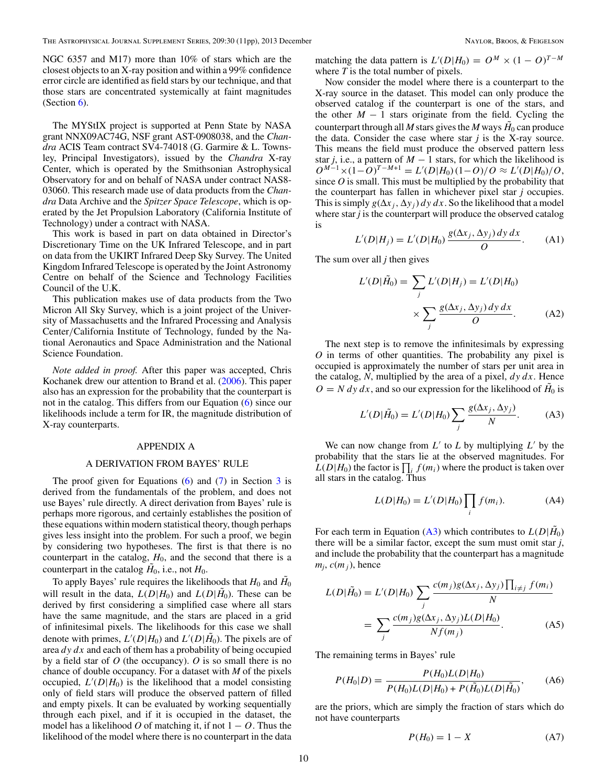<span id="page-9-0"></span>NGC 6357 and M17) more than 10% of stars which are the closest objects to an X-ray position and within a 99% confidence error circle are identified as field stars by our technique, and that those stars are concentrated systemically at faint magnitudes (Section  $6$ ).

The MYStIX project is supported at Penn State by NASA grant NNX09AC74G, NSF grant AST-0908038, and the *Chandra* ACIS Team contract SV4-74018 (G. Garmire & L. Townsley, Principal Investigators), issued by the *Chandra* X-ray Center, which is operated by the Smithsonian Astrophysical Observatory for and on behalf of NASA under contract NAS8- 03060. This research made use of data products from the *Chandra* Data Archive and the *Spitzer Space Telescope*, which is operated by the Jet Propulsion Laboratory (California Institute of Technology) under a contract with NASA.

This work is based in part on data obtained in Director's Discretionary Time on the UK Infrared Telescope, and in part on data from the UKIRT Infrared Deep Sky Survey. The United Kingdom Infrared Telescope is operated by the Joint Astronomy Centre on behalf of the Science and Technology Facilities Council of the U.K.

This publication makes use of data products from the Two Micron All Sky Survey, which is a joint project of the University of Massachusetts and the Infrared Processing and Analysis Center*/*California Institute of Technology, funded by the National Aeronautics and Space Administration and the National Science Foundation.

*Note added in proof.* After this paper was accepted, Chris Kochanek drew our attention to Brand et al. [\(2006\)](#page-10-0). This paper also has an expression for the probability that the counterpart is not in the catalog. This differs from our Equation [\(6\)](#page-3-0) since our likelihoods include a term for IR, the magnitude distribution of X-ray counterparts.

### APPENDIX A

#### A DERIVATION FROM BAYES' RULE

The proof given for Equations  $(6)$  and  $(7)$  in Section  $3$  is derived from the fundamentals of the problem, and does not use Bayes' rule directly. A direct derivation from Bayes' rule is perhaps more rigorous, and certainly establishes the position of these equations within modern statistical theory, though perhaps gives less insight into the problem. For such a proof, we begin by considering two hypotheses. The first is that there is no counterpart in the catalog,  $H_0$ , and the second that there is a counterpart in the catalog  $H_0$ , i.e., not  $H_0$ .

To apply Bayes' rule requires the likelihoods that  $H_0$  and  $H_0$ will result in the data,  $L(D|H_0)$  and  $L(D|H_0)$ . These can be derived by first considering a simplified case where all stars have the same magnitude, and the stars are placed in a grid of infinitesimal pixels. The likelihoods for this case we shall denote with primes,  $L'(D|H_0)$  and  $L'(D|H_0)$ . The pixels are of area *dy dx* and each of them has a probability of being occupied by a field star of *O* (the occupancy). *O* is so small there is no chance of double occupancy. For a dataset with *M* of the pixels occupied,  $L'(D|H_0)$  is the likelihood that a model consisting only of field stars will produce the observed pattern of filled and empty pixels. It can be evaluated by working sequentially through each pixel, and if it is occupied in the dataset, the model has a likelihood *O* of matching it, if not  $1 - 0$ . Thus the likelihood of the model where there is no counterpart in the data

matching the data pattern is  $L'(D|H_0) = O^M \times (1 - O)^{T-M}$ where *T* is the total number of pixels.

Now consider the model where there is a counterpart to the X-ray source in the dataset. This model can only produce the observed catalog if the counterpart is one of the stars, and the other  $M - 1$  stars originate from the field. Cycling the counterpart through all  $M$  stars gives the  $M$  ways  $H_0$  can produce the data. Consider the case where star *j* is the X-ray source. This means the field must produce the observed pattern less star *j*, i.e., a pattern of  $M - 1$  stars, for which the likelihood is  $O^{M-1} \times (1-O)^{T-M+1} = L'(D|H_0)(1-O)/O \approx L'(D|H_0)/O,$ since  $O$  is small. This must be multiplied by the probability that the counterpart has fallen in whichever pixel star *j* occupies. This is simply  $g(\Delta x_i, \Delta y_i) dy dx$ . So the likelihood that a model where star *j* is the counterpart will produce the observed catalog is

$$
L'(D|H_j) = L'(D|H_0) \frac{g(\Delta x_j, \Delta y_j) dy dx}{O}.
$$
 (A1)

The sum over all *j* then gives

$$
L'(D|\tilde{H}_0) = \sum_j L'(D|H_j) = L'(D|H_0)
$$

$$
\times \sum_j \frac{g(\Delta x_j, \Delta y_j) dy dx}{O}.
$$
 (A2)

The next step is to remove the infinitesimals by expressing *O* in terms of other quantities. The probability any pixel is occupied is approximately the number of stars per unit area in the catalog, *N*, multiplied by the area of a pixel, *dy dx*. Hence  $O = N dy dx$ , and so our expression for the likelihood of  $H_0$  is

$$
L'(D|\tilde{H}_0) = L'(D|H_0) \sum_j \frac{g(\Delta x_j, \Delta y_j)}{N}.
$$
 (A3)

We can now change from  $L'$  to  $L$  by multiplying  $L'$  by the probability that the stars lie at the observed magnitudes. For  $L(D|H_0)$  the factor is  $\prod_i f(m_i)$  where the product is taken over all stars in the catalog. Thus

$$
L(D|H_0) = L'(D|H_0) \prod_i f(m_i).
$$
 (A4)

For each term in Equation (A3) which contributes to  $L(D|H_0)$ there will be a similar factor, except the sum must omit star *j*, and include the probability that the counterpart has a magnitude  $m_i$ ,  $c(m_i)$ , hence

$$
L(D|\tilde{H}_0) = L'(D|H_0) \sum_j \frac{c(m_j)g(\Delta x_j, \Delta y_j) \prod_{i \neq j} f(m_i)}{N}
$$

$$
= \sum_j \frac{c(m_j)g(\Delta x_j, \Delta y_j)L(D|H_0)}{Nf(m_j)}.
$$
(A5)

The remaining terms in Bayes' rule

$$
P(H_0|D) = \frac{P(H_0)L(D|H_0)}{P(H_0)L(D|H_0) + P(\tilde{H}_0)L(D|\tilde{H}_0)},
$$
 (A6)

are the priors, which are simply the fraction of stars which do not have counterparts

$$
P(H_0) = 1 - X \tag{A7}
$$